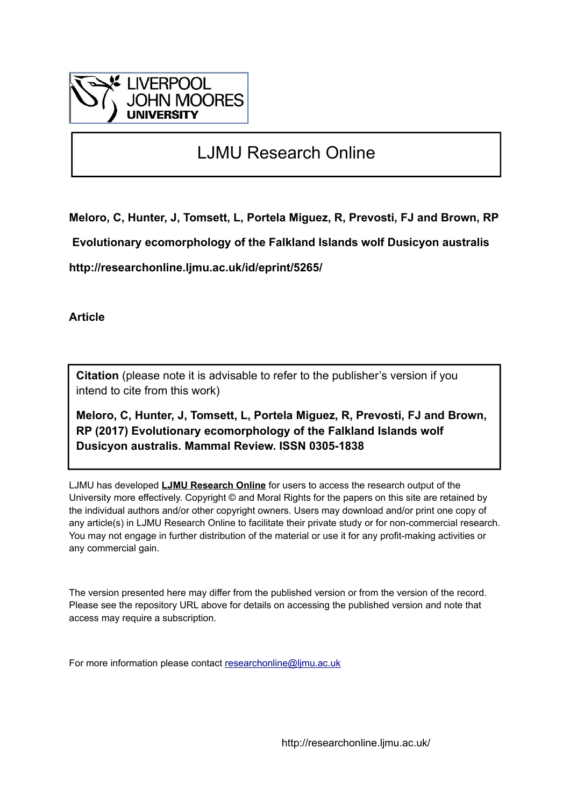

# LJMU Research Online

**Meloro, C, Hunter, J, Tomsett, L, Portela Miguez, R, Prevosti, FJ and Brown, RP**

 **Evolutionary ecomorphology of the Falkland Islands wolf Dusicyon australis**

**http://researchonline.ljmu.ac.uk/id/eprint/5265/**

**Article**

**Citation** (please note it is advisable to refer to the publisher's version if you intend to cite from this work)

**Meloro, C, Hunter, J, Tomsett, L, Portela Miguez, R, Prevosti, FJ and Brown, RP (2017) Evolutionary ecomorphology of the Falkland Islands wolf Dusicyon australis. Mammal Review. ISSN 0305-1838** 

LJMU has developed **[LJMU Research Online](http://researchonline.ljmu.ac.uk/)** for users to access the research output of the University more effectively. Copyright © and Moral Rights for the papers on this site are retained by the individual authors and/or other copyright owners. Users may download and/or print one copy of any article(s) in LJMU Research Online to facilitate their private study or for non-commercial research. You may not engage in further distribution of the material or use it for any profit-making activities or any commercial gain.

The version presented here may differ from the published version or from the version of the record. Please see the repository URL above for details on accessing the published version and note that access may require a subscription.

For more information please contact [researchonline@ljmu.ac.uk](mailto:researchonline@ljmu.ac.uk)

http://researchonline.ljmu.ac.uk/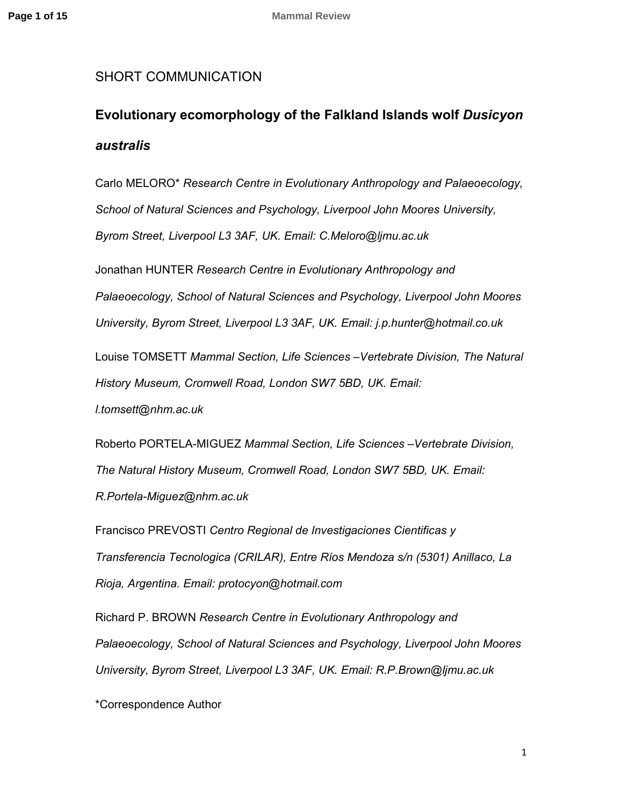## SHORT COMMUNICATION

# **Evolutionary ecomorphology of the Falkland Islands wolf** *Dusicyon australis*

Carlo MELORO\* *Research Centre in Evolutionary Anthropology and Palaeoecology, School of Natural Sciences and Psychology, Liverpool John Moores University, Byrom Street, Liverpool L3 3AF, UK. Email: C.Meloro@ljmu.ac.uk* 

Jonathan HUNTER *Research Centre in Evolutionary Anthropology and Palaeoecology, School of Natural Sciences and Psychology, Liverpool John Moores University, Byrom Street, Liverpool L3 3AF, UK. Email: j.p.hunter@hotmail.co.uk*

Louise TOMSETT *Mammal Section, Life Sciences –Vertebrate Division, The Natural History Museum, Cromwell Road, London SW7 5BD, UK. Email:* 

*l.tomsett@nhm.ac.uk*

Roberto PORTELA-MIGUEZ *Mammal Section, Life Sciences –Vertebrate Division, The Natural History Museum, Cromwell Road, London SW7 5BD, UK. Email: R.Portela-Miguez@nhm.ac.uk* 

Francisco PREVOSTI *Centro Regional de Investigaciones Cientificas y Transferencia Tecnologica (CRILAR), Entre Ríos Mendoza s/n (5301) Anillaco, La Rioja, Argentina. Email: protocyon@hotmail.com*

Richard P. BROWN *Research Centre in Evolutionary Anthropology and Palaeoecology, School of Natural Sciences and Psychology, Liverpool John Moores University, Byrom Street, Liverpool L3 3AF, UK. Email: R.P.Brown@ljmu.ac.uk* 

\*Correspondence Author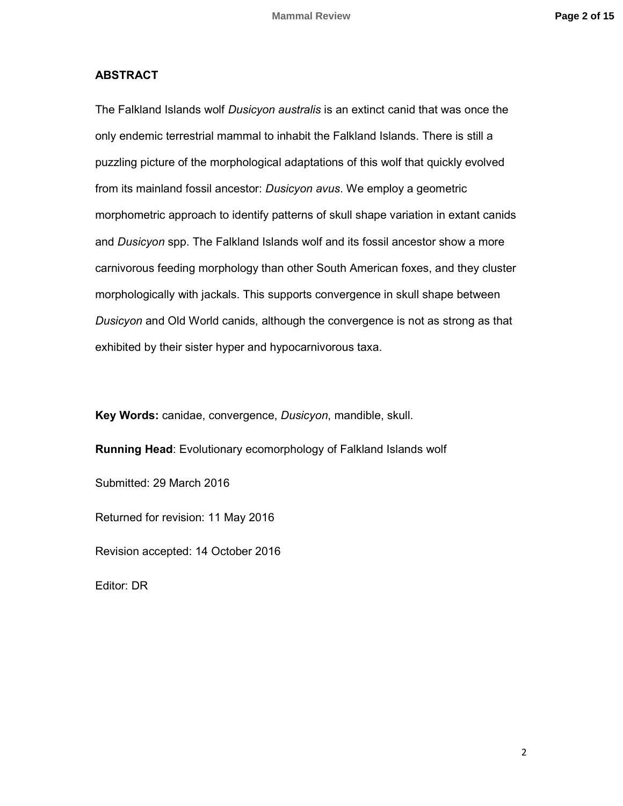## **ABSTRACT**

The Falkland Islands wolf *Dusicyon australis* is an extinct canid that was once the only endemic terrestrial mammal to inhabit the Falkland Islands. There is still a puzzling picture of the morphological adaptations of this wolf that quickly evolved from its mainland fossil ancestor: *Dusicyon avus*. We employ a geometric morphometric approach to identify patterns of skull shape variation in extant canids and *Dusicyon* spp. The Falkland Islands wolf and its fossil ancestor show a more carnivorous feeding morphology than other South American foxes, and they cluster morphologically with jackals. This supports convergence in skull shape between *Dusicyon* and Old World canids, although the convergence is not as strong as that exhibited by their sister hyper and hypocarnivorous taxa.

**Key Words:** canidae, convergence, *Dusicyon*, mandible, skull.

**Running Head**: Evolutionary ecomorphology of Falkland Islands wolf

Submitted: 29 March 2016

Returned for revision: 11 May 2016

Revision accepted: 14 October 2016

Editor: DR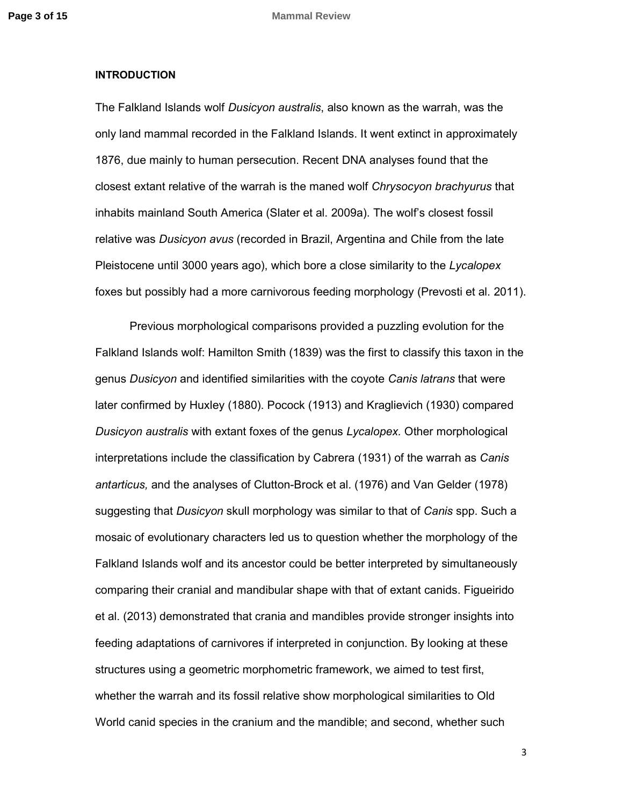#### **INTRODUCTION**

The Falkland Islands wolf *Dusicyon australis*, also known as the warrah, was the only land mammal recorded in the Falkland Islands. It went extinct in approximately 1876, due mainly to human persecution. Recent DNA analyses found that the closest extant relative of the warrah is the maned wolf *Chrysocyon brachyurus* that inhabits mainland South America (Slater et al. 2009a). The wolf's closest fossil relative was *Dusicyon avus* (recorded in Brazil, Argentina and Chile from the late Pleistocene until 3000 years ago), which bore a close similarity to the *Lycalopex* foxes but possibly had a more carnivorous feeding morphology (Prevosti et al. 2011).

Previous morphological comparisons provided a puzzling evolution for the Falkland Islands wolf: Hamilton Smith (1839) was the first to classify this taxon in the genus *Dusicyon* and identified similarities with the coyote *Canis latrans* that were later confirmed by Huxley (1880). Pocock (1913) and Kraglievich (1930) compared *Dusicyon australis* with extant foxes of the genus *Lycalopex.* Other morphological interpretations include the classification by Cabrera (1931) of the warrah as *Canis antarticus,* and the analyses of Clutton-Brock et al. (1976) and Van Gelder (1978) suggesting that *Dusicyon* skull morphology was similar to that of *Canis* spp. Such a mosaic of evolutionary characters led us to question whether the morphology of the Falkland Islands wolf and its ancestor could be better interpreted by simultaneously comparing their cranial and mandibular shape with that of extant canids. Figueirido et al. (2013) demonstrated that crania and mandibles provide stronger insights into feeding adaptations of carnivores if interpreted in conjunction. By looking at these structures using a geometric morphometric framework, we aimed to test first, whether the warrah and its fossil relative show morphological similarities to Old World canid species in the cranium and the mandible; and second, whether such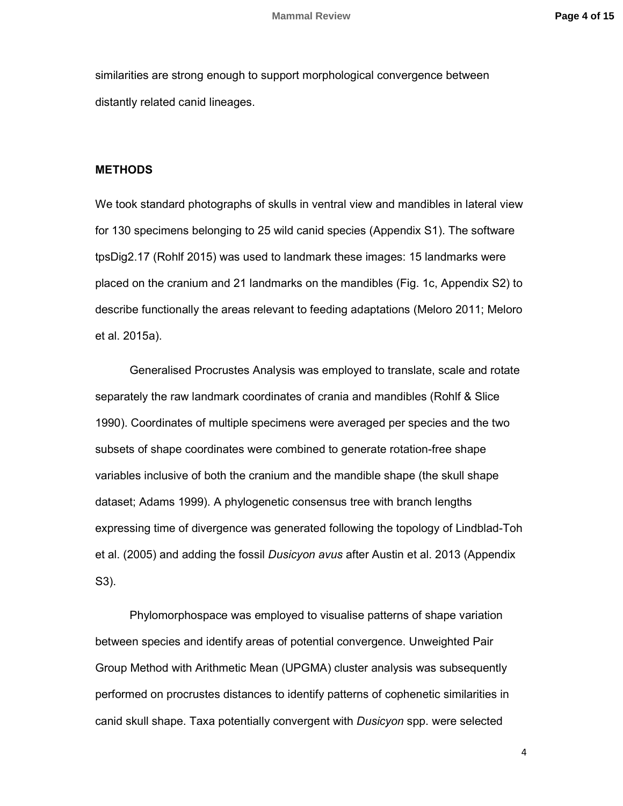similarities are strong enough to support morphological convergence between distantly related canid lineages.

## **METHODS**

We took standard photographs of skulls in ventral view and mandibles in lateral view for 130 specimens belonging to 25 wild canid species (Appendix S1). The software tpsDig2.17 (Rohlf 2015) was used to landmark these images: 15 landmarks were placed on the cranium and 21 landmarks on the mandibles (Fig. 1c, Appendix S2) to describe functionally the areas relevant to feeding adaptations (Meloro 2011; Meloro et al. 2015a).

Generalised Procrustes Analysis was employed to translate, scale and rotate separately the raw landmark coordinates of crania and mandibles (Rohlf & Slice 1990). Coordinates of multiple specimens were averaged per species and the two subsets of shape coordinates were combined to generate rotation-free shape variables inclusive of both the cranium and the mandible shape (the skull shape dataset; Adams 1999). A phylogenetic consensus tree with branch lengths expressing time of divergence was generated following the topology of Lindblad-Toh et al. (2005) and adding the fossil *Dusicyon avus* after Austin et al. 2013 (Appendix S3).

Phylomorphospace was employed to visualise patterns of shape variation between species and identify areas of potential convergence. Unweighted Pair Group Method with Arithmetic Mean (UPGMA) cluster analysis was subsequently performed on procrustes distances to identify patterns of cophenetic similarities in canid skull shape. Taxa potentially convergent with *Dusicyon* spp. were selected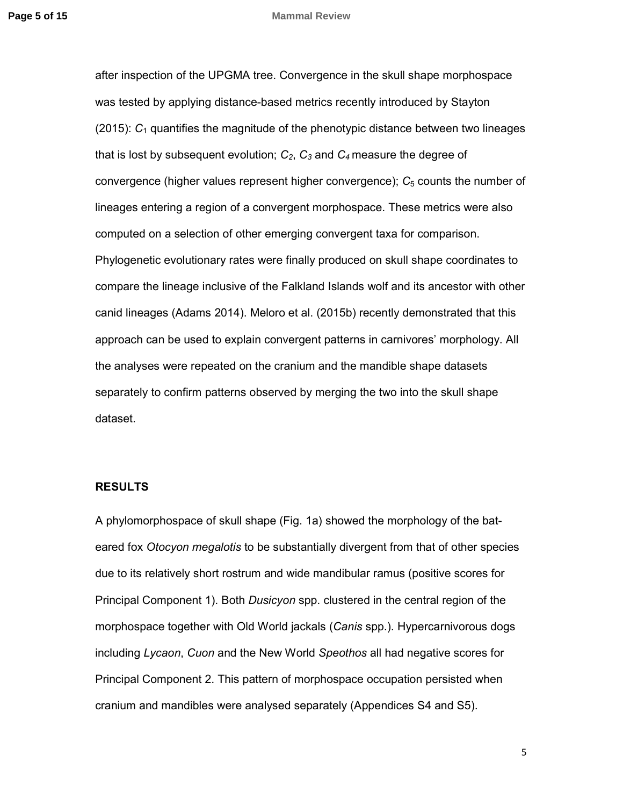#### **Page 5 of 15** Mammal Review

after inspection of the UPGMA tree. Convergence in the skull shape morphospace was tested by applying distance-based metrics recently introduced by Stayton (2015): *C*1 quantifies the magnitude of the phenotypic distance between two lineages that is lost by subsequent evolution; *C2*, *C3* and *C<sup>4</sup>* measure the degree of convergence (higher values represent higher convergence);  $C_5$  counts the number of lineages entering a region of a convergent morphospace. These metrics were also computed on a selection of other emerging convergent taxa for comparison. Phylogenetic evolutionary rates were finally produced on skull shape coordinates to compare the lineage inclusive of the Falkland Islands wolf and its ancestor with other canid lineages (Adams 2014). Meloro et al. (2015b) recently demonstrated that this approach can be used to explain convergent patterns in carnivores' morphology. All the analyses were repeated on the cranium and the mandible shape datasets separately to confirm patterns observed by merging the two into the skull shape dataset.

## **RESULTS**

A phylomorphospace of skull shape (Fig. 1a) showed the morphology of the bateared fox *Otocyon megalotis* to be substantially divergent from that of other species due to its relatively short rostrum and wide mandibular ramus (positive scores for Principal Component 1). Both *Dusicyon* spp. clustered in the central region of the morphospace together with Old World jackals (*Canis* spp.). Hypercarnivorous dogs including *Lycaon*, *Cuon* and the New World *Speothos* all had negative scores for Principal Component 2. This pattern of morphospace occupation persisted when cranium and mandibles were analysed separately (Appendices S4 and S5).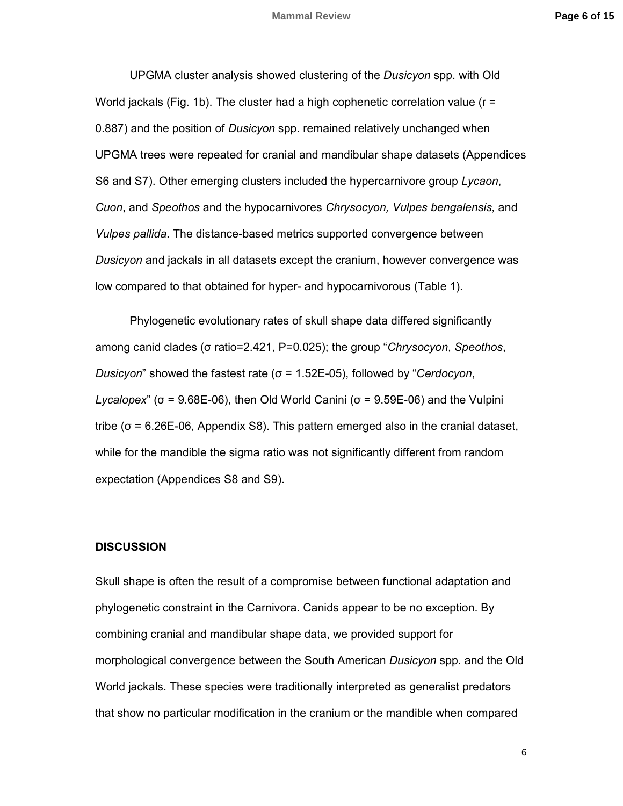UPGMA cluster analysis showed clustering of the *Dusicyon* spp. with Old World jackals (Fig. 1b). The cluster had a high cophenetic correlation value ( $r =$ 0.887) and the position of *Dusicyon* spp. remained relatively unchanged when UPGMA trees were repeated for cranial and mandibular shape datasets (Appendices S6 and S7). Other emerging clusters included the hypercarnivore group *Lycaon*, *Cuon*, and *Speothos* and the hypocarnivores *Chrysocyon, Vulpes bengalensis,* and *Vulpes pallida*. The distance-based metrics supported convergence between *Dusicyon* and jackals in all datasets except the cranium, however convergence was low compared to that obtained for hyper- and hypocarnivorous (Table 1).

Phylogenetic evolutionary rates of skull shape data differed significantly among canid clades (σ ratio=2.421, P=0.025); the group "*Chrysocyon*, *Speothos*, *Dusicyon*" showed the fastest rate (σ = 1.52E-05), followed by "*Cerdocyon*, *Lycalopex*" (σ = 9.68E-06), then Old World Canini (σ = 9.59E-06) and the Vulpini tribe (σ = 6.26E-06, Appendix S8). This pattern emerged also in the cranial dataset, while for the mandible the sigma ratio was not significantly different from random expectation (Appendices S8 and S9).

#### **DISCUSSION**

Skull shape is often the result of a compromise between functional adaptation and phylogenetic constraint in the Carnivora. Canids appear to be no exception. By combining cranial and mandibular shape data, we provided support for morphological convergence between the South American *Dusicyon* spp. and the Old World jackals. These species were traditionally interpreted as generalist predators that show no particular modification in the cranium or the mandible when compared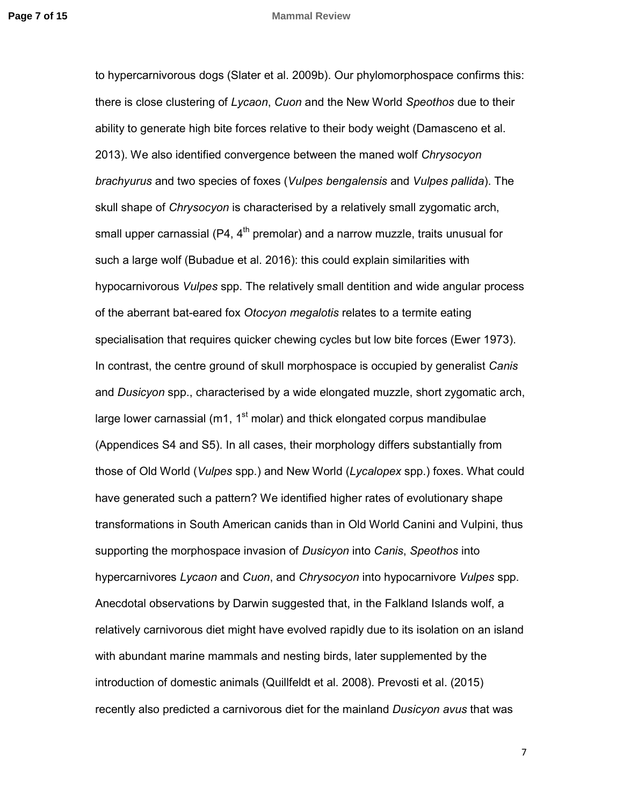#### **Page 7 of 15 Mammal Review**

to hypercarnivorous dogs (Slater et al. 2009b). Our phylomorphospace confirms this: there is close clustering of *Lycaon*, *Cuon* and the New World *Speothos* due to their ability to generate high bite forces relative to their body weight (Damasceno et al. 2013). We also identified convergence between the maned wolf *Chrysocyon brachyurus* and two species of foxes (*Vulpes bengalensis* and *Vulpes pallida*). The skull shape of *Chrysocyon* is characterised by a relatively small zygomatic arch, small upper carnassial (P4,  $4<sup>th</sup>$  premolar) and a narrow muzzle, traits unusual for such a large wolf (Bubadue et al. 2016): this could explain similarities with hypocarnivorous *Vulpes* spp. The relatively small dentition and wide angular process of the aberrant bat-eared fox *Otocyon megalotis* relates to a termite eating specialisation that requires quicker chewing cycles but low bite forces (Ewer 1973). In contrast, the centre ground of skull morphospace is occupied by generalist *Canis* and *Dusicyon* spp., characterised by a wide elongated muzzle, short zygomatic arch, large lower carnassial ( $m1$ ,  $1<sup>st</sup>$  molar) and thick elongated corpus mandibulae (Appendices S4 and S5). In all cases, their morphology differs substantially from those of Old World (*Vulpes* spp.) and New World (*Lycalopex* spp.) foxes. What could have generated such a pattern? We identified higher rates of evolutionary shape transformations in South American canids than in Old World Canini and Vulpini, thus supporting the morphospace invasion of *Dusicyon* into *Canis*, *Speothos* into hypercarnivores *Lycaon* and *Cuon*, and *Chrysocyon* into hypocarnivore *Vulpes* spp. Anecdotal observations by Darwin suggested that, in the Falkland Islands wolf, a relatively carnivorous diet might have evolved rapidly due to its isolation on an island with abundant marine mammals and nesting birds, later supplemented by the introduction of domestic animals (Quillfeldt et al. 2008). Prevosti et al. (2015) recently also predicted a carnivorous diet for the mainland *Dusicyon avus* that was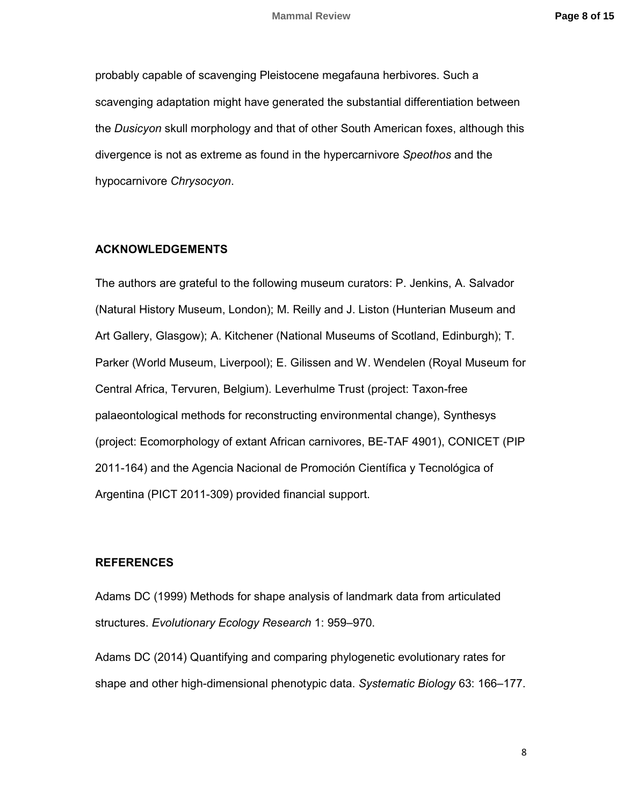probably capable of scavenging Pleistocene megafauna herbivores. Such a scavenging adaptation might have generated the substantial differentiation between the *Dusicyon* skull morphology and that of other South American foxes, although this divergence is not as extreme as found in the hypercarnivore *Speothos* and the hypocarnivore *Chrysocyon*.

### **ACKNOWLEDGEMENTS**

The authors are grateful to the following museum curators: P. Jenkins, A. Salvador (Natural History Museum, London); M. Reilly and J. Liston (Hunterian Museum and Art Gallery, Glasgow); A. Kitchener (National Museums of Scotland, Edinburgh); T. Parker (World Museum, Liverpool); E. Gilissen and W. Wendelen (Royal Museum for Central Africa, Tervuren, Belgium). Leverhulme Trust (project: Taxon-free palaeontological methods for reconstructing environmental change), Synthesys (project: Ecomorphology of extant African carnivores, BE-TAF 4901), CONICET (PIP 2011-164) and the Agencia Nacional de Promoción Científica y Tecnológica of Argentina (PICT 2011-309) provided financial support.

## **REFERENCES**

Adams DC (1999) Methods for shape analysis of landmark data from articulated structures. *Evolutionary Ecology Research* 1: 959–970.

Adams DC (2014) Quantifying and comparing phylogenetic evolutionary rates for shape and other high-dimensional phenotypic data. *Systematic Biology* 63: 166–177.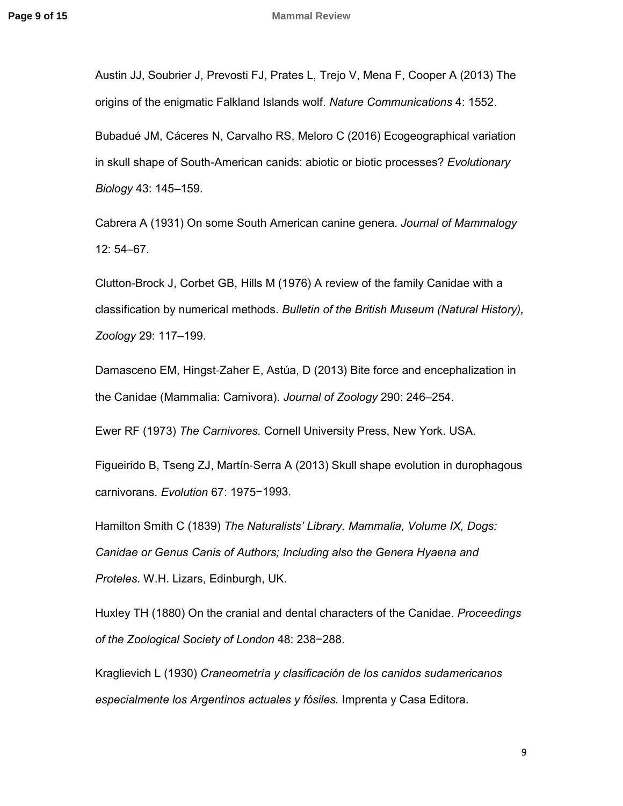Austin JJ, Soubrier J, Prevosti FJ, Prates L, Trejo V, Mena F, Cooper A (2013) The origins of the enigmatic Falkland Islands wolf. *Nature Communications* 4: 1552.

Bubadué JM, Cáceres N, Carvalho RS, Meloro C (2016) Ecogeographical variation in skull shape of South-American canids: abiotic or biotic processes? *Evolutionary Biology* 43: 145‒159.

Cabrera A (1931) On some South American canine genera. *Journal of Mammalogy* 12: 54‒67.

Clutton-Brock J, Corbet GB, Hills M (1976) A review of the family Canidae with a classification by numerical methods. *Bulletin of the British Museum (Natural History), Zoology* 29: 117‒199.

Damasceno EM, Hingst‐Zaher E, Astúa, D (2013) Bite force and encephalization in the Canidae (Mammalia: Carnivora). *Journal of Zoology* 290: 246–254.

Ewer RF (1973) *The Carnivores.* Cornell University Press, New York. USA.

Figueirido B, Tseng ZJ, Martín‐Serra A (2013) Skull shape evolution in durophagous carnivorans. *Evolution* 67: 1975−1993.

Hamilton Smith C (1839) *The Naturalists' Library. Mammalia, Volume IX, Dogs: Canidae or Genus Canis of Authors; Including also the Genera Hyaena and Proteles*. W.H. Lizars, Edinburgh, UK.

Huxley TH (1880) On the cranial and dental characters of the Canidae. *Proceedings of the Zoological Society of London* 48: 238−288.

Kraglievich L (1930) *Craneometría y clasificación de los canidos sudamericanos especialmente los Argentinos actuales y fósiles.* Imprenta y Casa Editora.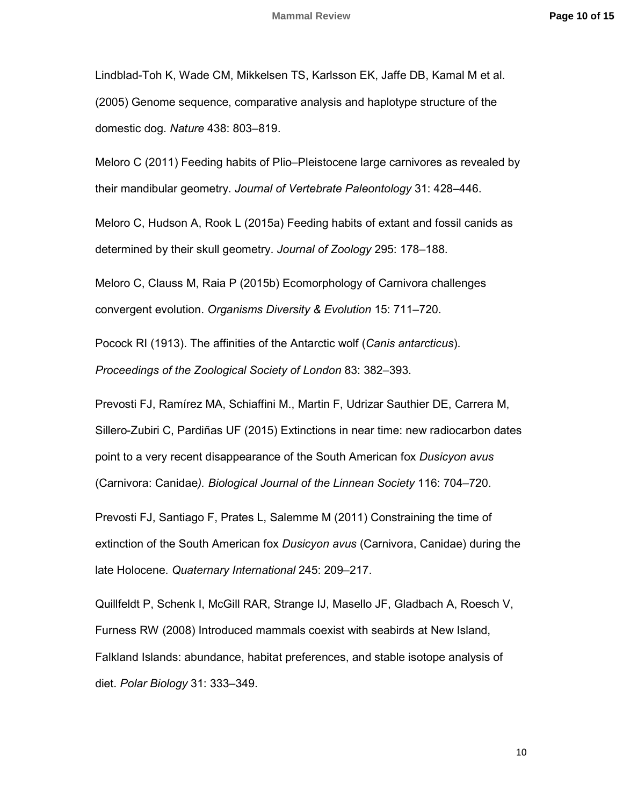Lindblad-Toh K, Wade CM, Mikkelsen TS, Karlsson EK, Jaffe DB, Kamal M et al. (2005) Genome sequence, comparative analysis and haplotype structure of the domestic dog. *Nature* 438: 803–819.

Meloro C (2011) Feeding habits of Plio–Pleistocene large carnivores as revealed by their mandibular geometry. *Journal of Vertebrate Paleontology* 31: 428–446.

Meloro C, Hudson A, Rook L (2015a) Feeding habits of extant and fossil canids as determined by their skull geometry. *Journal of Zoology* 295: 178–188.

Meloro C, Clauss M, Raia P (2015b) Ecomorphology of Carnivora challenges convergent evolution. Organisms Diversity & Evolution 15: 711–720.

Pocock RI (1913). The affinities of the Antarctic wolf (*Canis antarcticus*).

*Proceedings of the Zoological Society of London* 83: 382–393.

Prevosti FJ, Ramírez MA, Schiaffini M., Martin F, Udrizar Sauthier DE, Carrera M, Sillero-Zubiri C, Pardiñas UF (2015) Extinctions in near time: new radiocarbon dates point to a very recent disappearance of the South American fox *Dusicyon avus* (Carnivora: Canidae). Biological Journal of the Linnean Society 116: 704–720.

Prevosti FJ, Santiago F, Prates L, Salemme M (2011) Constraining the time of extinction of the South American fox *Dusicyon avus* (Carnivora, Canidae) during the late Holocene. Quaternary International 245: 209-217.

Quillfeldt P, Schenk I, McGill RAR, Strange IJ, Masello JF, Gladbach A, Roesch V, Furness RW (2008) Introduced mammals coexist with seabirds at New Island, Falkland Islands: abundance, habitat preferences, and stable isotope analysis of diet. *Polar Biology* 31: 333–349.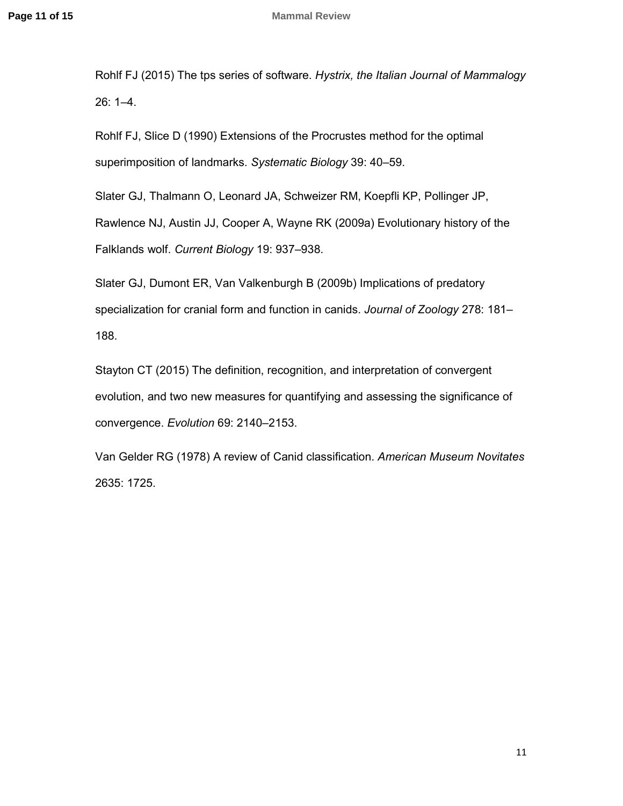Rohlf FJ (2015) The tps series of software. *Hystrix, the Italian Journal of Mammalogy*   $26: 1 - 4.$ 

Rohlf FJ, Slice D (1990) Extensions of the Procrustes method for the optimal superimposition of landmarks. Systematic Biology 39: 40-59.

Slater GJ, Thalmann O, Leonard JA, Schweizer RM, Koepfli KP, Pollinger JP,

Rawlence NJ, Austin JJ, Cooper A, Wayne RK (2009a) Evolutionary history of the Falklands wolf. *Current Biology* 19: 937‒938.

Slater GJ, Dumont ER, Van Valkenburgh B (2009b) Implications of predatory specialization for cranial form and function in canids. *Journal of Zoology* 278: 181-188.

Stayton CT (2015) The definition, recognition, and interpretation of convergent evolution, and two new measures for quantifying and assessing the significance of convergence. Evolution 69: 2140-2153.

Van Gelder RG (1978) A review of Canid classification. *American Museum Novitates* 2635: 1725.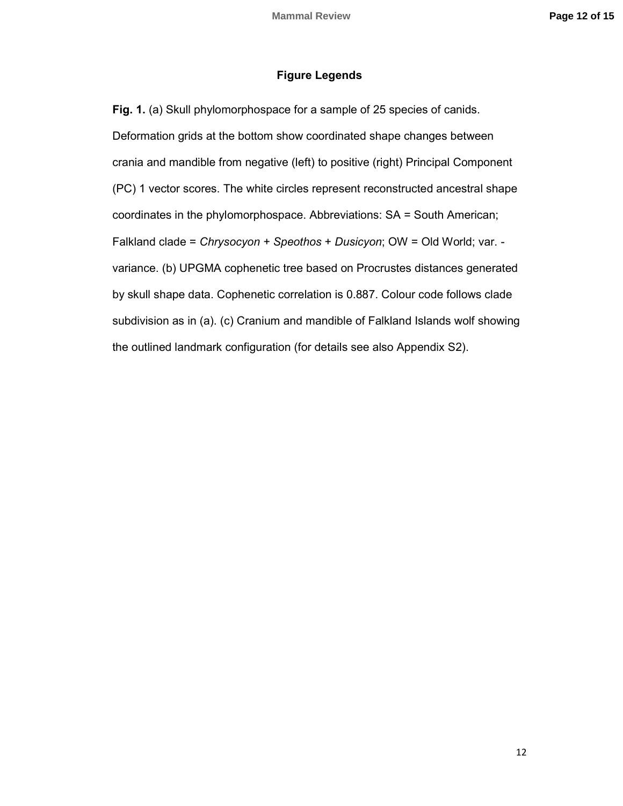## **Figure Legends**

**Fig. 1.** (a) Skull phylomorphospace for a sample of 25 species of canids. Deformation grids at the bottom show coordinated shape changes between crania and mandible from negative (left) to positive (right) Principal Component (PC) 1 vector scores. The white circles represent reconstructed ancestral shape coordinates in the phylomorphospace. Abbreviations: SA = South American; Falkland clade = *Chrysocyon + Speothos* + *Dusicyon*; OW = Old World; var. variance. (b) UPGMA cophenetic tree based on Procrustes distances generated by skull shape data. Cophenetic correlation is 0.887. Colour code follows clade subdivision as in (a). (c) Cranium and mandible of Falkland Islands wolf showing the outlined landmark configuration (for details see also Appendix S2).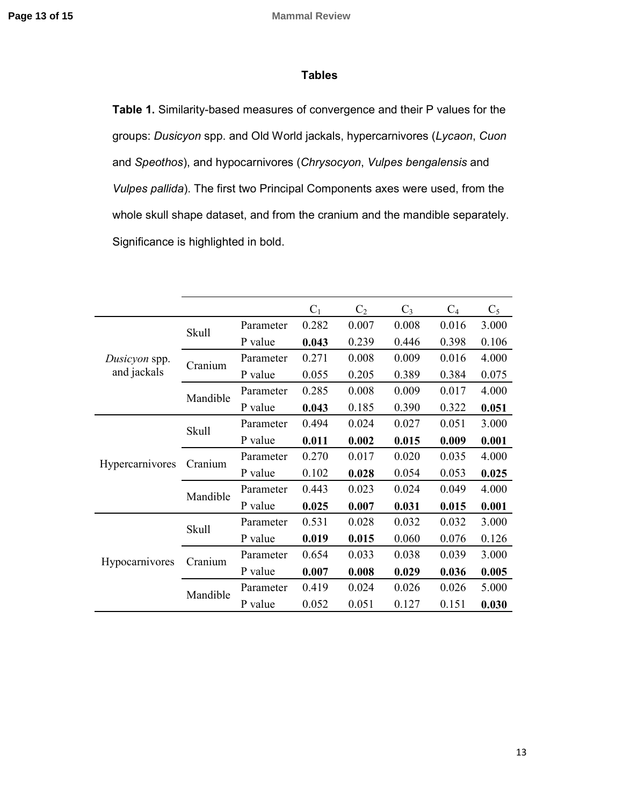## **Tables**

**Table 1.** Similarity-based measures of convergence and their P values for the groups: *Dusicyon* spp. and Old World jackals, hypercarnivores (*Lycaon*, *Cuon* and *Speothos*), and hypocarnivores (*Chrysocyon*, *Vulpes bengalensis* and *Vulpes pallida*). The first two Principal Components axes were used, from the whole skull shape dataset, and from the cranium and the mandible separately. Significance is highlighted in bold.

|                              |              |           | $C_1$ | C <sub>2</sub> | $C_3$ | $C_4$ | $C_5$ |
|------------------------------|--------------|-----------|-------|----------------|-------|-------|-------|
| Dusicyon spp.<br>and jackals | Skull        | Parameter | 0.282 | 0.007          | 0.008 | 0.016 | 3.000 |
|                              |              | P value   | 0.043 | 0.239          | 0.446 | 0.398 | 0.106 |
|                              | Cranium      | Parameter | 0.271 | 0.008          | 0.009 | 0.016 | 4.000 |
|                              |              | P value   | 0.055 | 0.205          | 0.389 | 0.384 | 0.075 |
|                              | Mandible     | Parameter | 0.285 | 0.008          | 0.009 | 0.017 | 4.000 |
|                              |              | P value   | 0.043 | 0.185          | 0.390 | 0.322 | 0.051 |
| Hypercarnivores              | <b>Skull</b> | Parameter | 0.494 | 0.024          | 0.027 | 0.051 | 3.000 |
|                              |              | P value   | 0.011 | 0.002          | 0.015 | 0.009 | 0.001 |
|                              | Cranium      | Parameter | 0.270 | 0.017          | 0.020 | 0.035 | 4.000 |
|                              |              | P value   | 0.102 | 0.028          | 0.054 | 0.053 | 0.025 |
|                              | Mandible     | Parameter | 0.443 | 0.023          | 0.024 | 0.049 | 4.000 |
|                              |              | P value   | 0.025 | 0.007          | 0.031 | 0.015 | 0.001 |
| Hypocarnivores               | <b>Skull</b> | Parameter | 0.531 | 0.028          | 0.032 | 0.032 | 3.000 |
|                              |              | P value   | 0.019 | 0.015          | 0.060 | 0.076 | 0.126 |
|                              | Cranium      | Parameter | 0.654 | 0.033          | 0.038 | 0.039 | 3.000 |
|                              |              | P value   | 0.007 | 0.008          | 0.029 | 0.036 | 0.005 |
|                              | Mandible     | Parameter | 0.419 | 0.024          | 0.026 | 0.026 | 5.000 |
|                              |              | P value   | 0.052 | 0.051          | 0.127 | 0.151 | 0.030 |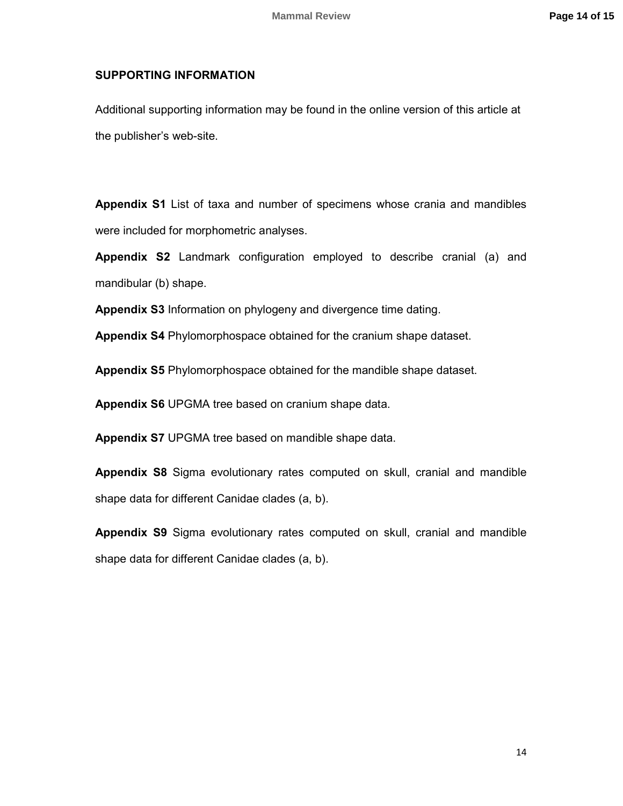## **SUPPORTING INFORMATION**

Additional supporting information may be found in the online version of this article at the publisher's web-site.

**Appendix S1** List of taxa and number of specimens whose crania and mandibles were included for morphometric analyses.

**Appendix S2** Landmark configuration employed to describe cranial (a) and mandibular (b) shape.

**Appendix S3** Information on phylogeny and divergence time dating.

**Appendix S4** Phylomorphospace obtained for the cranium shape dataset.

**Appendix S5** Phylomorphospace obtained for the mandible shape dataset.

**Appendix S6** UPGMA tree based on cranium shape data.

**Appendix S7** UPGMA tree based on mandible shape data.

**Appendix S8** Sigma evolutionary rates computed on skull, cranial and mandible shape data for different Canidae clades (a, b).

**Appendix S9** Sigma evolutionary rates computed on skull, cranial and mandible shape data for different Canidae clades (a, b).